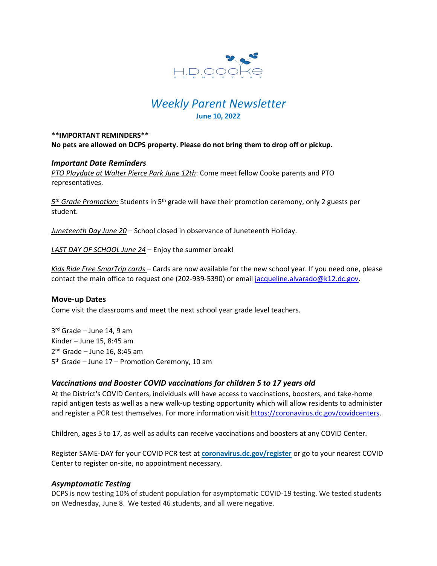

# *Weekly Parent Newsletter* **June 10, 2022**

### **\*\*IMPORTANT REMINDERS\*\* No pets are allowed on DCPS property. Please do not bring them to drop off or pickup.**

## *Important Date Reminders*

*PTO Playdate at Walter Pierce Park June 12th*: Come meet fellow Cooke parents and PTO representatives.

*5 th Grade Promotion:* Students in 5th grade will have their promotion ceremony, only 2 guests per student.

*Juneteenth Day June 20* – School closed in observance of Juneteenth Holiday.

*LAST DAY OF SCHOOL June 24* – Enjoy the summer break!

*Kids Ride Free SmarTrip cards* – Cards are now available for the new school year. If you need one, please contact the main office to request one (202-939-5390) or email [jacqueline.alvarado@k12.dc.gov.](mailto:jacqueline.alvarado@k12.dc.gov)

### **Move-up Dates**

Come visit the classrooms and meet the next school year grade level teachers.

3 rd Grade – June 14, 9 am Kinder – June 15, 8:45 am 2<sup>nd</sup> Grade – June 16, 8:45 am 5 th Grade – June 17 – Promotion Ceremony, 10 am

### *Vaccinations and Booster COVID vaccinations for children 5 to 17 years old*

At the District's COVID Centers, individuals will have access to vaccinations, boosters, and take-home rapid antigen tests as well as a new walk-up testing opportunity which will allow residents to administer and register a PCR test themselves. For more information visit [https://coronavirus.dc.gov/covidcenters.](https://coronavirus.dc.gov/covidcenters)

Children, ages 5 to 17, as well as adults can receive vaccinations and boosters at any COVID Center.

Register SAME-DAY for your COVID PCR test at **[coronavirus.dc.gov/register](https://coronavirus.dc.gov/register)** or go to your nearest COVID Center to register on-site, no appointment necessary.

### *Asymptomatic Testing*

DCPS is now testing 10% of student population for asymptomatic COVID-19 testing. We tested students on Wednesday, June 8. We tested 46 students, and all were negative.